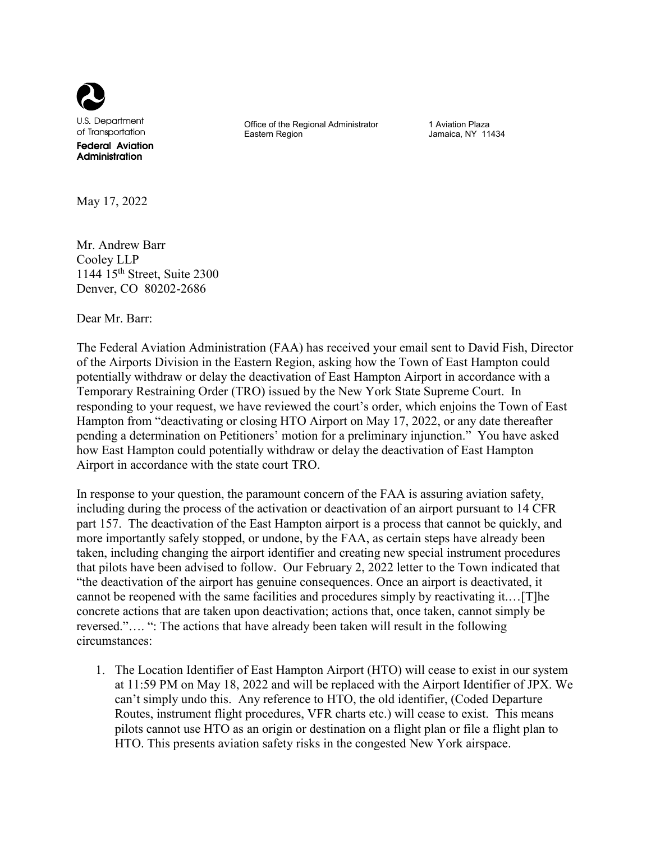

**U.S. Department** of Transportation **Federal Aviation** Administration

Office of the Regional Administrator Eastern Region

1 Aviation Plaza Jamaica, NY 11434

May 17, 2022

Mr. Andrew Barr Cooley LLP 1144  $15<sup>th</sup>$  Street, Suite 2300 Denver, CO 80202-2686

Dear Mr. Barr:

The Federal Aviation Administration (FAA) has received your email sent to David Fish, Director of the Airports Division in the Eastern Region, asking how the Town of East Hampton could potentially withdraw or delay the deactivation of East Hampton Airport in accordance with a Temporary Restraining Order (TRO) issued by the New York State Supreme Court. In responding to your request, we have reviewed the court's order, which enjoins the Town of East Hampton from "deactivating or closing HTO Airport on May 17, 2022, or any date thereafter pending a determination on Petitioners' motion for a preliminary injunction." You have asked how East Hampton could potentially withdraw or delay the deactivation of East Hampton Airport in accordance with the state court TRO.

In response to your question, the paramount concern of the FAA is assuring aviation safety, including during the process of the activation or deactivation of an airport pursuant to 14 CFR part 157. The deactivation of the East Hampton airport is a process that cannot be quickly, and more importantly safely stopped, or undone, by the FAA, as certain steps have already been taken, including changing the airport identifier and creating new special instrument procedures that pilots have been advised to follow. Our February 2, 2022 letter to the Town indicated that "the deactivation of the airport has genuine consequences. Once an airport is deactivated, it cannot be reopened with the same facilities and procedures simply by reactivating it.…[T]he concrete actions that are taken upon deactivation; actions that, once taken, cannot simply be reversed."…. ": The actions that have already been taken will result in the following circumstances:

1. The Location Identifier of East Hampton Airport (HTO) will cease to exist in our system at 11:59 PM on May 18, 2022 and will be replaced with the Airport Identifier of JPX. We can't simply undo this. Any reference to HTO, the old identifier, (Coded Departure Routes, instrument flight procedures, VFR charts etc.) will cease to exist. This means pilots cannot use HTO as an origin or destination on a flight plan or file a flight plan to HTO. This presents aviation safety risks in the congested New York airspace.